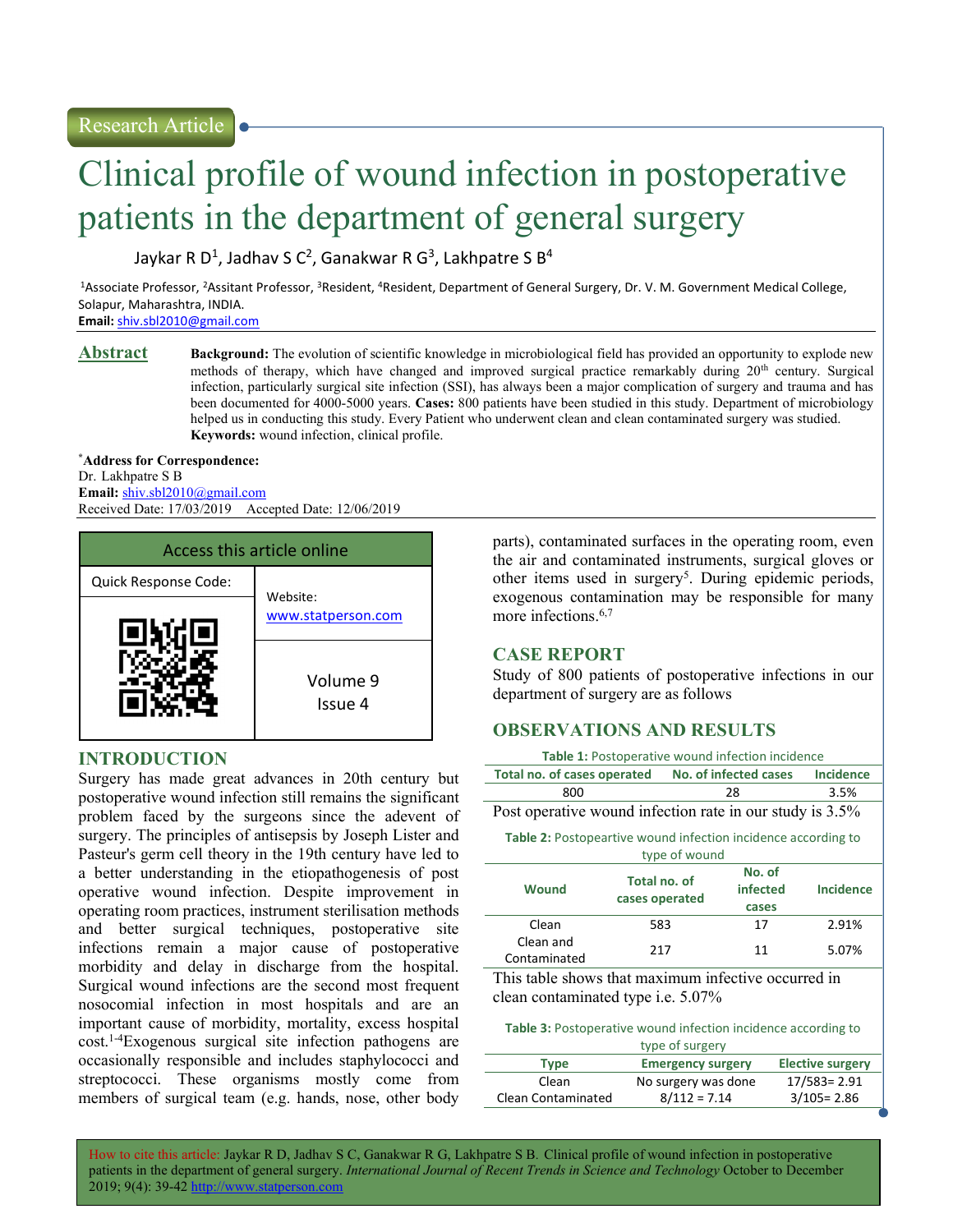# Clinical profile of wound infection in postoperative patients in the department of general surgery

Jaykar R D<sup>1</sup>, Jadhav S C<sup>2</sup>, Ganakwar R G<sup>3</sup>, Lakhpatre S B<sup>4</sup>

<sup>1</sup>Associate Professor, <sup>2</sup>Assitant Professor, <sup>3</sup>Resident, <sup>4</sup>Resident, Department of General Surgery, Dr. V. M. Government Medical College, Solapur, Maharashtra, INDIA.

Email: shiv.sbl2010@gmail.com

**Abstract** Background: The evolution of scientific knowledge in microbiological field has provided an opportunity to explode new methods of therapy, which have changed and improved surgical practice remarkably during 20<sup>th</sup> century. Surgical infection, particularly surgical site infection (SSI), has always been a major complication of surgery and trauma and has been documented for 4000-5000 years. Cases: 800 patients have been studied in this study. Department of microbiology helped us in conducting this study. Every Patient who underwent clean and clean contaminated surgery was studied. Keywords: wound infection, clinical profile.

\*Address for Correspondence: Dr. Lakhpatre S B Email: shiv.sbl2010@gmail.com Received Date: 17/03/2019 Accepted Date: 12/06/2019



# INTRODUCTION

Surgery has made great advances in 20th century but postoperative wound infection still remains the significant problem faced by the surgeons since the adevent of surgery. The principles of antisepsis by Joseph Lister and Pasteur's germ cell theory in the 19th century have led to a better understanding in the etiopathogenesis of post operative wound infection. Despite improvement in operating room practices, instrument sterilisation methods and better surgical techniques, postoperative site infections remain a major cause of postoperative morbidity and delay in discharge from the hospital. Surgical wound infections are the second most frequent nosocomial infection in most hospitals and are an important cause of morbidity, mortality, excess hospital cost.1-4Exogenous surgical site infection pathogens are occasionally responsible and includes staphylococci and streptococci. These organisms mostly come from members of surgical team (e.g. hands, nose, other body

parts), contaminated surfaces in the operating room, even the air and contaminated instruments, surgical gloves or other items used in surgery<sup>5</sup>. During epidemic periods, exogenous contamination may be responsible for many more infections.<sup>6,7</sup>

### CASE REPORT

Study of 800 patients of postoperative infections in our department of surgery are as follows

# OBSERVATIONS AND RESULTS

|                           |                                                                      |                                | Table 1: Postoperative wound infection incidence |                             |                  |  |
|---------------------------|----------------------------------------------------------------------|--------------------------------|--------------------------------------------------|-----------------------------|------------------|--|
|                           | Total no. of cases operated                                          |                                |                                                  | No. of infected cases       | <b>Incidence</b> |  |
|                           | 800                                                                  |                                | 28                                               |                             | 3.5%             |  |
|                           | Post operative wound infection rate in our study is 3.5%             |                                |                                                  |                             |                  |  |
|                           | <b>Table 2:</b> Postopeartive wound infection incidence according to |                                | type of wound                                    |                             |                  |  |
|                           | <b>Wound</b>                                                         | Total no. of<br>cases operated |                                                  | No. of<br>infected<br>cases | <b>Incidence</b> |  |
|                           | Clean                                                                | 583                            |                                                  | 17                          | 2.91%            |  |
|                           | Clean and<br>Contaminated                                            | 217                            |                                                  | 11                          | 5.07%            |  |
| .<br>$\sim$ $\sim$<br>. . |                                                                      |                                |                                                  |                             |                  |  |

This table shows that maximum infective occurred in clean contaminated type i.e. 5.07%

| <b>Table 3:</b> Postoperative wound infection incidence according to |  |
|----------------------------------------------------------------------|--|
| type of surgery                                                      |  |

|                    | $\alpha$                 |                         |
|--------------------|--------------------------|-------------------------|
| Type               | <b>Emergency surgery</b> | <b>Elective surgery</b> |
| Clean              | No surgery was done      | 17/583= 2.91            |
| Clean Contaminated | $8/112 = 7.14$           | $3/105 = 2.86$          |

How to cite this article: Jaykar R D, Jadhav S C, Ganakwar R G, Lakhpatre S B. Clinical profile of wound infection in postoperative patients in the department of general surgery. International Journal of Recent Trends in Science and Technology October to December 2019; 9(4): 39-42 http: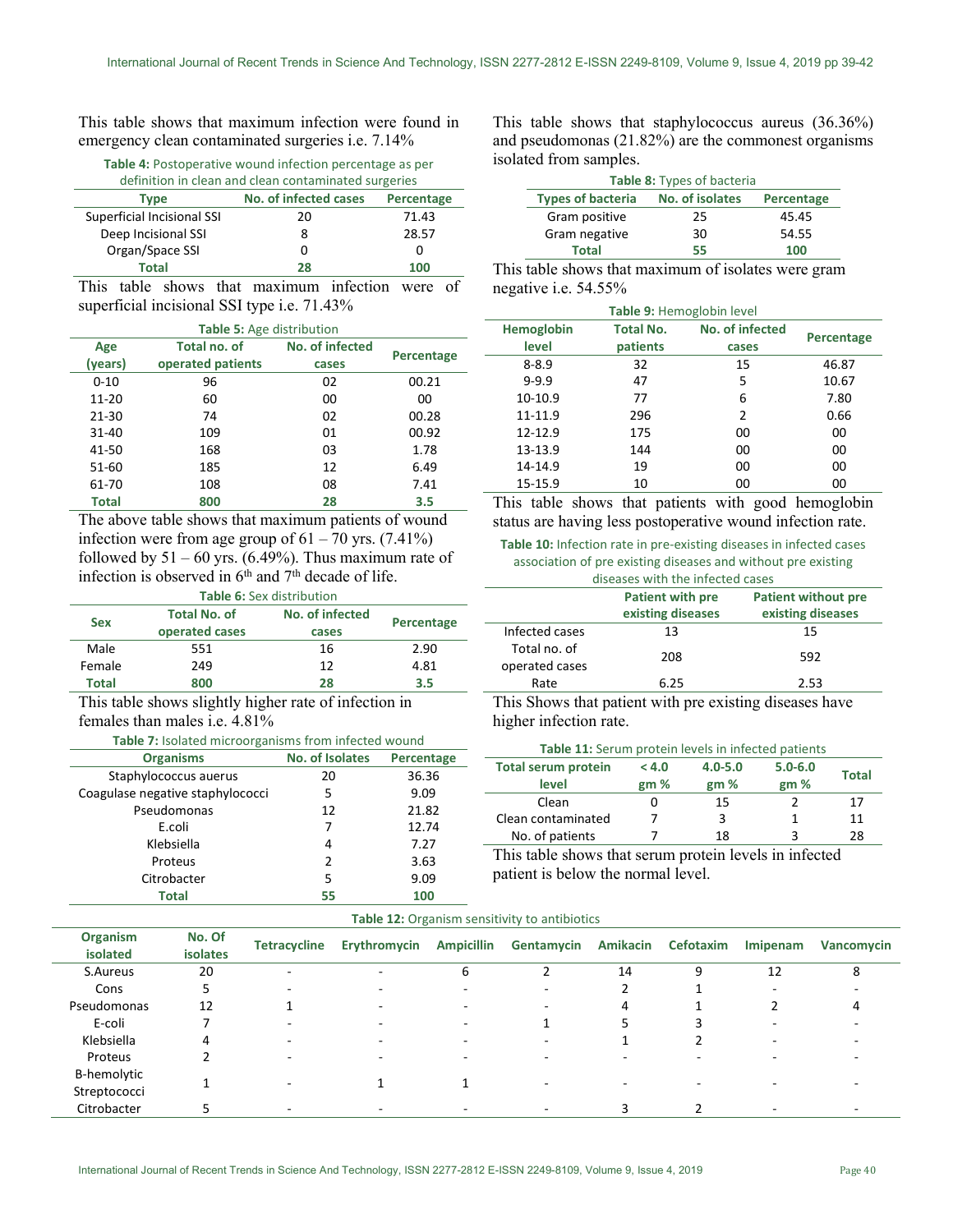This table shows that maximum infection were found in emergency clean contaminated surgeries i.e. 7.14%

Table 4: Postoperative wound infection percentage as per

| definition in clean and clean contaminated surgeries |    |       |  |  |  |  |  |
|------------------------------------------------------|----|-------|--|--|--|--|--|
| No. of infected cases<br>Percentage<br>Type          |    |       |  |  |  |  |  |
| Superficial Incisional SSI                           | 20 | 71.43 |  |  |  |  |  |
| Deep Incisional SSI                                  |    | 28.57 |  |  |  |  |  |
| Organ/Space SSI                                      | O  |       |  |  |  |  |  |
| <b>Total</b>                                         | 28 | 100   |  |  |  |  |  |
| .<br>$\sim$ $\sim$                                   |    |       |  |  |  |  |  |

This table shows that maximum infection were of superficial incisional SSI type i.e. 71.43%

| Table 5: Age distribution              |                   |       |            |  |  |  |  |
|----------------------------------------|-------------------|-------|------------|--|--|--|--|
| No. of infected<br>Total no. of<br>Age |                   |       |            |  |  |  |  |
| (years)                                | operated patients | cases | Percentage |  |  |  |  |
| $0 - 10$                               | 96                | 02    | 00.21      |  |  |  |  |
| $11 - 20$                              | 60                | 00    | 00         |  |  |  |  |
| 21-30                                  | 74                | 02    | 00.28      |  |  |  |  |
| 31-40                                  | 109               | 01    | 00.92      |  |  |  |  |
| 41-50                                  | 168               | 03    | 1.78       |  |  |  |  |
| 51-60                                  | 185               | 12    | 6.49       |  |  |  |  |
| 61-70                                  | 108               | 08    | 7.41       |  |  |  |  |
| Total                                  | 800               | 28    | 3.5        |  |  |  |  |

The above table shows that maximum patients of wound infection were from age group of  $61 - 70$  yrs.  $(7.41\%)$ followed by  $51 - 60$  yrs. (6.49%). Thus maximum rate of infection is observed in  $6<sup>th</sup>$  and  $7<sup>th</sup>$  decade of life.

| <b>Table 6: Sex distribution</b> |                                        |       |            |  |  |  |
|----------------------------------|----------------------------------------|-------|------------|--|--|--|
| <b>Sex</b>                       | No. of infected<br><b>Total No. of</b> |       | Percentage |  |  |  |
|                                  | operated cases                         | cases |            |  |  |  |
| Male                             | 551                                    | 16    | 2.90       |  |  |  |
| Female                           | 249                                    | 12    | 4.81       |  |  |  |
| <b>Total</b>                     | 800                                    | 28    | 3.5        |  |  |  |

This table shows slightly higher rate of infection in females than males i.e. 4.81%

| Table 7: Isolated microorganisms from infected wound |                        |            |  |  |  |  |
|------------------------------------------------------|------------------------|------------|--|--|--|--|
| <b>Organisms</b>                                     | <b>No. of Isolates</b> | Percentage |  |  |  |  |
| Staphylococcus auerus                                | 20                     | 36.36      |  |  |  |  |
| Coagulase negative staphylococci                     | 5                      | 9.09       |  |  |  |  |
| Pseudomonas                                          | 12                     | 21.82      |  |  |  |  |
| E.coli                                               | 7                      | 12.74      |  |  |  |  |
| Klebsiella                                           | 4                      | 7.27       |  |  |  |  |
| Proteus                                              | $\mathcal{P}$          | 3.63       |  |  |  |  |
| Citrobacter                                          | 5                      | 9.09       |  |  |  |  |
| <b>Total</b>                                         | 55                     | 100        |  |  |  |  |

This table shows that staphylococcus aureus (36.36%) and pseudomonas (21.82%) are the commonest organisms isolated from samples.

|                                                           | Table 8: Types of bacteria |       |  |  |  |  |
|-----------------------------------------------------------|----------------------------|-------|--|--|--|--|
| <b>Types of bacteria</b><br>No. of isolates<br>Percentage |                            |       |  |  |  |  |
| Gram positive                                             | 25                         | 45.45 |  |  |  |  |
| Gram negative                                             | 30                         | 54.55 |  |  |  |  |
| Total                                                     | 55                         | 100   |  |  |  |  |

This table shows that maximum of isolates were gram negative i.e. 54.55%

| Table 9: Hemoglobin level |            |       |       |  |  |  |
|---------------------------|------------|-------|-------|--|--|--|
| <b>Hemoglobin</b>         | Percentage |       |       |  |  |  |
| level                     | patients   | cases |       |  |  |  |
| $8 - 8.9$                 | 32         | 15    | 46.87 |  |  |  |
| $9 - 9.9$                 | 47         | 5     | 10.67 |  |  |  |
| 10-10.9                   | 77         | 6     | 7.80  |  |  |  |
| 11-11.9                   | 296        | 2     | 0.66  |  |  |  |
| 12-12.9                   | 175        | 00    | 00    |  |  |  |
| 13-13.9                   | 144        | 00    | 00    |  |  |  |
| 14-14.9                   | 19         | 00    | 00    |  |  |  |
| 15-15.9                   | 10         | 00    | 00    |  |  |  |

This table shows that patients with good hemoglobin status are having less postoperative wound infection rate.

Table 10: Infection rate in pre-existing diseases in infected cases association of pre existing diseases and without pre existing diseases with the infected cases

|                                                       | diseases with the infected cases |                   |  |  |  |  |
|-------------------------------------------------------|----------------------------------|-------------------|--|--|--|--|
| <b>Patient with pre</b><br><b>Patient without pre</b> |                                  |                   |  |  |  |  |
|                                                       | existing diseases                | existing diseases |  |  |  |  |
| Infected cases                                        | 13                               | 15                |  |  |  |  |
| Total no. of<br>operated cases                        | 208                              | 592               |  |  |  |  |
| Rate                                                  | 6.25                             | 2.53              |  |  |  |  |

This Shows that patient with pre existing diseases have higher infection rate.

#### Table 11: Serum protein levels in infected patients

| <b>Total serum protein</b> | < 4.0 | $4.0 - 5.0$ | $5.0 - 6.0$ | <b>Total</b> |
|----------------------------|-------|-------------|-------------|--------------|
| level                      | gm %  | gm%         | gm%         |              |
| Clean                      |       | 15          |             | 17           |
| Clean contaminated         |       | 3           |             | 11           |
| No. of patients            |       | 18          |             | 28           |

This table shows that serum protein levels in infected patient is below the normal level.

| <b>Table 12.</b> Organism sensitivity to antibiotics |                           |                     |                          |                          |            |          |           |          |            |
|------------------------------------------------------|---------------------------|---------------------|--------------------------|--------------------------|------------|----------|-----------|----------|------------|
| Organism<br>isolated                                 | No. Of<br><b>isolates</b> | <b>Tetracycline</b> | Erythromycin             | <b>Ampicillin</b>        | Gentamycin | Amikacin | Cefotaxim | Imipenam | Vancomycin |
| S.Aureus                                             | 20                        | -                   | $\overline{\phantom{a}}$ | 6                        |            | 14       | 9         | 12       | 8          |
| Cons                                                 | 5.                        | -                   |                          |                          | -          |          |           |          |            |
| Pseudomonas                                          | 12                        |                     |                          |                          |            | 4        |           |          |            |
| E-coli                                               |                           | -                   |                          | $\overline{\phantom{0}}$ |            |          |           |          |            |
| Klebsiella                                           | 4                         |                     |                          |                          |            |          |           |          |            |
| Proteus                                              |                           |                     |                          |                          |            |          |           |          |            |
| <b>B-hemolytic</b><br>Streptococci                   |                           |                     |                          |                          |            |          |           |          |            |
| Citrobacter                                          |                           |                     |                          |                          |            |          |           |          |            |

 $\mathbf{F}$ able 12: Organism sensitivity to antibiotics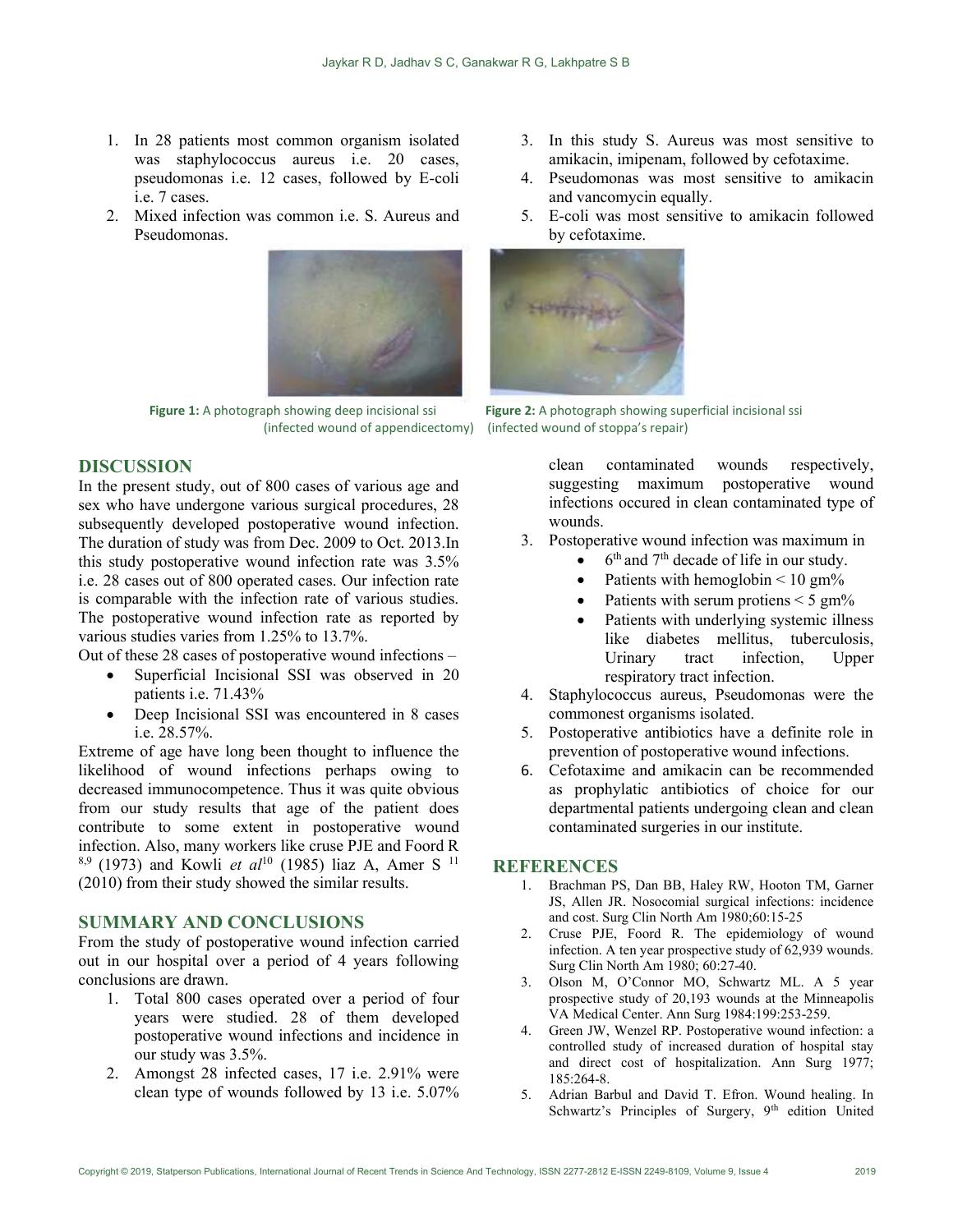- 1. In 28 patients most common organism isolated was staphylococcus aureus i.e. 20 cases, pseudomonas i.e. 12 cases, followed by E-coli i.e. 7 cases.
- 2. Mixed infection was common i.e. S. Aureus and Pseudomonas.



# DISCUSSION

In the present study, out of 800 cases of various age and sex who have undergone various surgical procedures, 28 subsequently developed postoperative wound infection. The duration of study was from Dec. 2009 to Oct. 2013.In this study postoperative wound infection rate was 3.5% i.e. 28 cases out of 800 operated cases. Our infection rate is comparable with the infection rate of various studies. The postoperative wound infection rate as reported by various studies varies from 1.25% to 13.7%.

Out of these 28 cases of postoperative wound infections –

- Superficial Incisional SSI was observed in 20 patients i.e. 71.43%
- Deep Incisional SSI was encountered in 8 cases i.e. 28.57%.

Extreme of age have long been thought to influence the likelihood of wound infections perhaps owing to decreased immunocompetence. Thus it was quite obvious from our study results that age of the patient does contribute to some extent in postoperative wound infection. Also, many workers like cruse PJE and Foord R  $8,9$  (1973) and Kowli et al<sup>10</sup> (1985) liaz A, Amer S<sup>11</sup> (2010) from their study showed the similar results.

## SUMMARY AND CONCLUSIONS

From the study of postoperative wound infection carried out in our hospital over a period of 4 years following conclusions are drawn.

- 1. Total 800 cases operated over a period of four years were studied. 28 of them developed postoperative wound infections and incidence in our study was 3.5%.
- 2. Amongst 28 infected cases, 17 i.e. 2.91% were clean type of wounds followed by 13 i.e. 5.07%
- 3. In this study S. Aureus was most sensitive to amikacin, imipenam, followed by cefotaxime.
- 4. Pseudomonas was most sensitive to amikacin and vancomycin equally.
- 5. E-coli was most sensitive to amikacin followed by cefotaxime.



Figure 1: A photograph showing deep incisional ssi Figure 2: A photograph showing superficial incisional ssi (infected wound of appendicectomy) (infected wound of stoppa's repair)

clean contaminated wounds respectively, suggesting maximum postoperative wound infections occured in clean contaminated type of wounds.

- 3. Postoperative wound infection was maximum in
	- $\bullet$  6<sup>th</sup> and 7<sup>th</sup> decade of life in our study.
	- Patients with hemoglobin  $\leq 10$  gm%
	- Patients with serum protiens  $\leq 5$  gm%
	- Patients with underlying systemic illness like diabetes mellitus, tuberculosis, Urinary tract infection, Upper respiratory tract infection.
- 4. Staphylococcus aureus, Pseudomonas were the commonest organisms isolated.
- 5. Postoperative antibiotics have a definite role in prevention of postoperative wound infections.
- 6. Cefotaxime and amikacin can be recommended as prophylatic antibiotics of choice for our departmental patients undergoing clean and clean contaminated surgeries in our institute.

#### **REFERENCES**

- 1. Brachman PS, Dan BB, Haley RW, Hooton TM, Garner JS, Allen JR. Nosocomial surgical infections: incidence and cost. Surg Clin North Am 1980;60:15-25
- 2. Cruse PJE, Foord R. The epidemiology of wound infection. A ten year prospective study of 62,939 wounds. Surg Clin North Am 1980; 60:27-40.
- 3. Olson M, O'Connor MO, Schwartz ML. A 5 year prospective study of 20,193 wounds at the Minneapolis VA Medical Center. Ann Surg 1984:199:253-259.
- 4. Green JW, Wenzel RP. Postoperative wound infection: a controlled study of increased duration of hospital stay and direct cost of hospitalization. Ann Surg 1977; 185:264-8.
- 5. Adrian Barbul and David T. Efron. Wound healing. In Schwartz's Principles of Surgery, 9<sup>th</sup> edition United